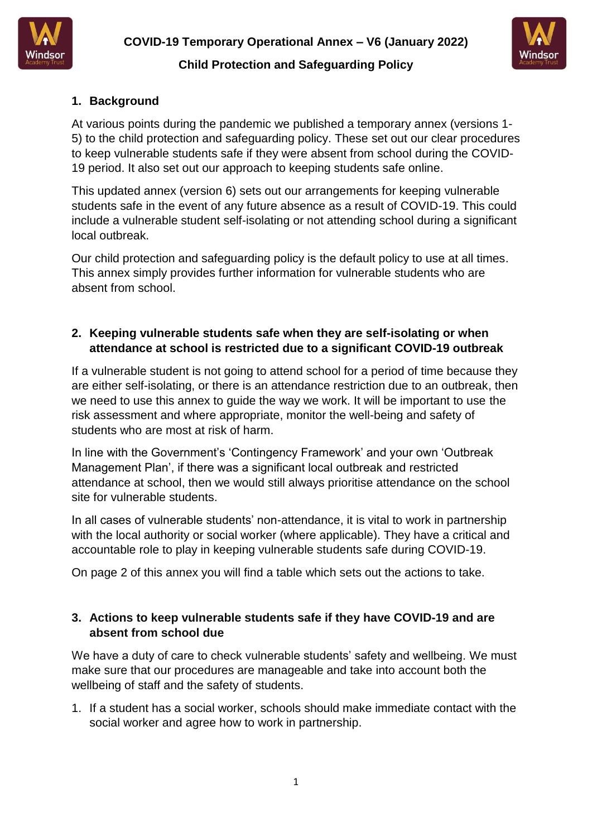



# **1. Background**

At various points during the pandemic we published a temporary annex (versions 1- 5) to the child protection and safeguarding policy. These set out our clear procedures to keep vulnerable students safe if they were absent from school during the COVID-19 period. It also set out our approach to keeping students safe online.

This updated annex (version 6) sets out our arrangements for keeping vulnerable students safe in the event of any future absence as a result of COVID-19. This could include a vulnerable student self-isolating or not attending school during a significant local outbreak.

Our child protection and safeguarding policy is the default policy to use at all times. This annex simply provides further information for vulnerable students who are absent from school.

#### **2. Keeping vulnerable students safe when they are self-isolating or when attendance at school is restricted due to a significant COVID-19 outbreak**

If a vulnerable student is not going to attend school for a period of time because they are either self-isolating, or there is an attendance restriction due to an outbreak, then we need to use this annex to guide the way we work. It will be important to use the risk assessment and where appropriate, monitor the well-being and safety of students who are most at risk of harm.

In line with the Government's 'Contingency Framework' and your own 'Outbreak Management Plan', if there was a significant local outbreak and restricted attendance at school, then we would still always prioritise attendance on the school site for vulnerable students.

In all cases of vulnerable students' non-attendance, it is vital to work in partnership with the local authority or social worker (where applicable). They have a critical and accountable role to play in keeping vulnerable students safe during COVID-19.

On page 2 of this annex you will find a table which sets out the actions to take.

#### **3. Actions to keep vulnerable students safe if they have COVID-19 and are absent from school due**

We have a duty of care to check vulnerable students' safety and wellbeing. We must make sure that our procedures are manageable and take into account both the wellbeing of staff and the safety of students.

1. If a student has a social worker, schools should make immediate contact with the social worker and agree how to work in partnership.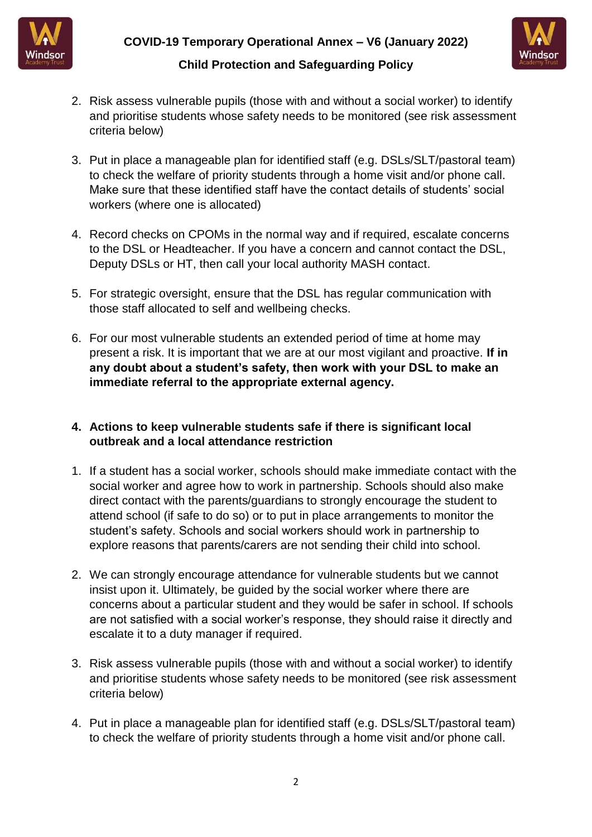



- 2. Risk assess vulnerable pupils (those with and without a social worker) to identify and prioritise students whose safety needs to be monitored (see risk assessment criteria below)
- 3. Put in place a manageable plan for identified staff (e.g. DSLs/SLT/pastoral team) to check the welfare of priority students through a home visit and/or phone call. Make sure that these identified staff have the contact details of students' social workers (where one is allocated)
- 4. Record checks on CPOMs in the normal way and if required, escalate concerns to the DSL or Headteacher. If you have a concern and cannot contact the DSL, Deputy DSLs or HT, then call your local authority MASH contact.
- 5. For strategic oversight, ensure that the DSL has regular communication with those staff allocated to self and wellbeing checks.
- 6. For our most vulnerable students an extended period of time at home may present a risk. It is important that we are at our most vigilant and proactive. **If in any doubt about a student's safety, then work with your DSL to make an immediate referral to the appropriate external agency.**

## **4. Actions to keep vulnerable students safe if there is significant local outbreak and a local attendance restriction**

- 1. If a student has a social worker, schools should make immediate contact with the social worker and agree how to work in partnership. Schools should also make direct contact with the parents/guardians to strongly encourage the student to attend school (if safe to do so) or to put in place arrangements to monitor the student's safety. Schools and social workers should work in partnership to explore reasons that parents/carers are not sending their child into school.
- 2. We can strongly encourage attendance for vulnerable students but we cannot insist upon it. Ultimately, be guided by the social worker where there are concerns about a particular student and they would be safer in school. If schools are not satisfied with a social worker's response, they should raise it directly and escalate it to a duty manager if required.
- 3. Risk assess vulnerable pupils (those with and without a social worker) to identify and prioritise students whose safety needs to be monitored (see risk assessment criteria below)
- 4. Put in place a manageable plan for identified staff (e.g. DSLs/SLT/pastoral team) to check the welfare of priority students through a home visit and/or phone call.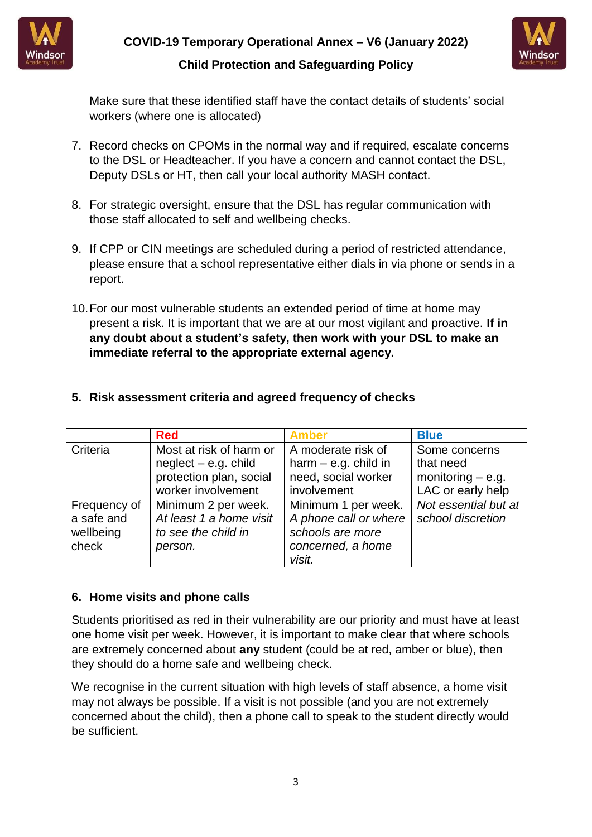



Make sure that these identified staff have the contact details of students' social workers (where one is allocated)

- 7. Record checks on CPOMs in the normal way and if required, escalate concerns to the DSL or Headteacher. If you have a concern and cannot contact the DSL, Deputy DSLs or HT, then call your local authority MASH contact.
- 8. For strategic oversight, ensure that the DSL has regular communication with those staff allocated to self and wellbeing checks.
- 9. If CPP or CIN meetings are scheduled during a period of restricted attendance, please ensure that a school representative either dials in via phone or sends in a report.
- 10.For our most vulnerable students an extended period of time at home may present a risk. It is important that we are at our most vigilant and proactive. **If in any doubt about a student's safety, then work with your DSL to make an immediate referral to the appropriate external agency.**

|              | <b>Red</b>              | <b>Amber</b>           | <b>Blue</b>          |
|--------------|-------------------------|------------------------|----------------------|
| Criteria     | Most at risk of harm or | A moderate risk of     | Some concerns        |
|              | $neglect - e.g. child$  | harm $-$ e.g. child in | that need            |
|              | protection plan, social | need, social worker    | monitoring $-$ e.g.  |
|              | worker involvement      | involvement            | LAC or early help    |
| Frequency of | Minimum 2 per week.     | Minimum 1 per week.    | Not essential but at |
| a safe and   | At least 1 a home visit | A phone call or where  | school discretion    |
| wellbeing    | to see the child in     | schools are more       |                      |
| check        | person.                 | concerned, a home      |                      |
|              |                         | visit.                 |                      |

## **5. Risk assessment criteria and agreed frequency of checks**

## **6. Home visits and phone calls**

Students prioritised as red in their vulnerability are our priority and must have at least one home visit per week. However, it is important to make clear that where schools are extremely concerned about **any** student (could be at red, amber or blue), then they should do a home safe and wellbeing check.

We recognise in the current situation with high levels of staff absence, a home visit may not always be possible. If a visit is not possible (and you are not extremely concerned about the child), then a phone call to speak to the student directly would be sufficient.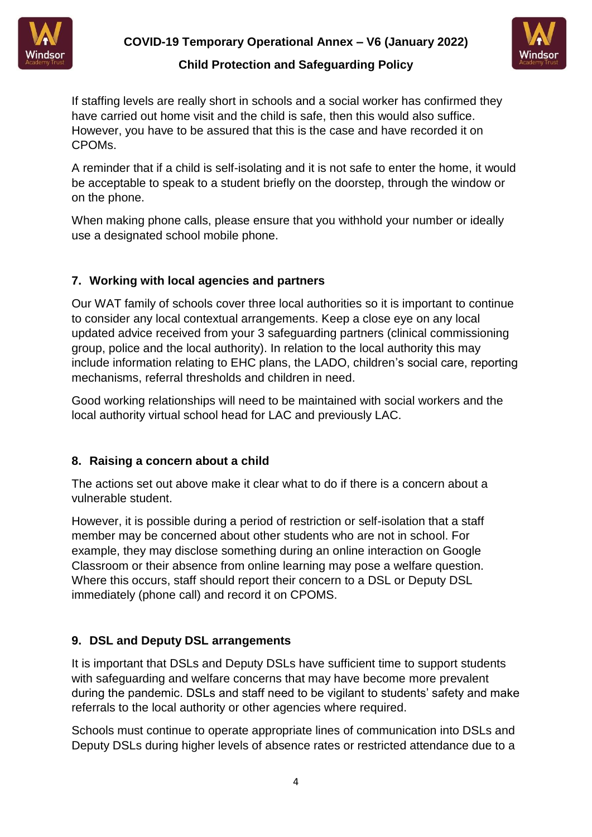



If staffing levels are really short in schools and a social worker has confirmed they have carried out home visit and the child is safe, then this would also suffice. However, you have to be assured that this is the case and have recorded it on CPOMs.

A reminder that if a child is self-isolating and it is not safe to enter the home, it would be acceptable to speak to a student briefly on the doorstep, through the window or on the phone.

When making phone calls, please ensure that you withhold your number or ideally use a designated school mobile phone.

## **7. Working with local agencies and partners**

Our WAT family of schools cover three local authorities so it is important to continue to consider any local contextual arrangements. Keep a close eye on any local updated advice received from your 3 safeguarding partners (clinical commissioning group, police and the local authority). In relation to the local authority this may include information relating to EHC plans, the LADO, children's social care, reporting mechanisms, referral thresholds and children in need.

Good working relationships will need to be maintained with social workers and the local authority virtual school head for LAC and previously LAC.

#### **8. Raising a concern about a child**

The actions set out above make it clear what to do if there is a concern about a vulnerable student.

However, it is possible during a period of restriction or self-isolation that a staff member may be concerned about other students who are not in school. For example, they may disclose something during an online interaction on Google Classroom or their absence from online learning may pose a welfare question. Where this occurs, staff should report their concern to a DSL or Deputy DSL immediately (phone call) and record it on CPOMS.

## **9. DSL and Deputy DSL arrangements**

It is important that DSLs and Deputy DSLs have sufficient time to support students with safeguarding and welfare concerns that may have become more prevalent during the pandemic. DSLs and staff need to be vigilant to students' safety and make referrals to the local authority or other agencies where required.

Schools must continue to operate appropriate lines of communication into DSLs and Deputy DSLs during higher levels of absence rates or restricted attendance due to a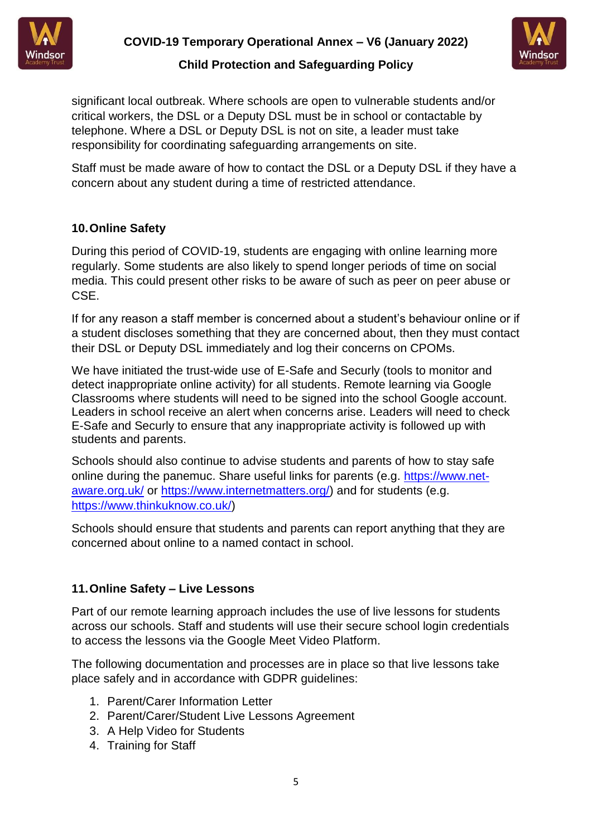



significant local outbreak. Where schools are open to vulnerable students and/or critical workers, the DSL or a Deputy DSL must be in school or contactable by telephone. Where a DSL or Deputy DSL is not on site, a leader must take responsibility for coordinating safeguarding arrangements on site.

Staff must be made aware of how to contact the DSL or a Deputy DSL if they have a concern about any student during a time of restricted attendance.

## **10.Online Safety**

During this period of COVID-19, students are engaging with online learning more regularly. Some students are also likely to spend longer periods of time on social media. This could present other risks to be aware of such as peer on peer abuse or CSE.

If for any reason a staff member is concerned about a student's behaviour online or if a student discloses something that they are concerned about, then they must contact their DSL or Deputy DSL immediately and log their concerns on CPOMs.

We have initiated the trust-wide use of E-Safe and Securly (tools to monitor and detect inappropriate online activity) for all students. Remote learning via Google Classrooms where students will need to be signed into the school Google account. Leaders in school receive an alert when concerns arise. Leaders will need to check E-Safe and Securly to ensure that any inappropriate activity is followed up with students and parents.

Schools should also continue to advise students and parents of how to stay safe online during the panemuc. Share useful links for parents (e.g. [https://www.net](https://www.net-aware.org.uk/)[aware.org.uk/](https://www.net-aware.org.uk/) or [https://www.internetmatters.org/\)](https://www.internetmatters.org/) and for students (e.g. [https://www.thinkuknow.co.uk/\)](https://www.thinkuknow.co.uk/)

Schools should ensure that students and parents can report anything that they are concerned about online to a named contact in school.

#### **11.Online Safety – Live Lessons**

Part of our remote learning approach includes the use of live lessons for students across our schools. Staff and students will use their secure school login credentials to access the lessons via the Google Meet Video Platform.

The following documentation and processes are in place so that live lessons take place safely and in accordance with GDPR guidelines:

- 1. Parent/Carer Information Letter
- 2. Parent/Carer/Student Live Lessons Agreement
- 3. A Help Video for Students
- 4. Training for Staff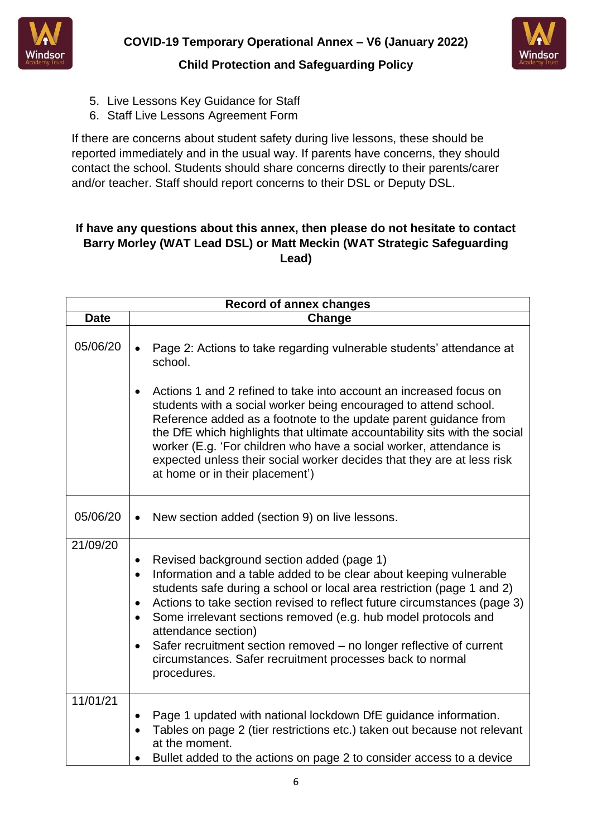



- 5. Live Lessons Key Guidance for Staff
- 6. Staff Live Lessons Agreement Form

If there are concerns about student safety during live lessons, these should be reported immediately and in the usual way. If parents have concerns, they should contact the school. Students should share concerns directly to their parents/carer and/or teacher. Staff should report concerns to their DSL or Deputy DSL.

## **If have any questions about this annex, then please do not hesitate to contact Barry Morley (WAT Lead DSL) or Matt Meckin (WAT Strategic Safeguarding Lead)**

| <b>Record of annex changes</b> |                                                                                                                                                                                                                                                                                                                                                                                                                                                                                                                                                                            |  |  |
|--------------------------------|----------------------------------------------------------------------------------------------------------------------------------------------------------------------------------------------------------------------------------------------------------------------------------------------------------------------------------------------------------------------------------------------------------------------------------------------------------------------------------------------------------------------------------------------------------------------------|--|--|
| <b>Date</b>                    | Change                                                                                                                                                                                                                                                                                                                                                                                                                                                                                                                                                                     |  |  |
| 05/06/20                       | Page 2: Actions to take regarding vulnerable students' attendance at<br>$\bullet$<br>school.                                                                                                                                                                                                                                                                                                                                                                                                                                                                               |  |  |
|                                | Actions 1 and 2 refined to take into account an increased focus on<br>students with a social worker being encouraged to attend school.<br>Reference added as a footnote to the update parent guidance from<br>the DfE which highlights that ultimate accountability sits with the social<br>worker (E.g. 'For children who have a social worker, attendance is<br>expected unless their social worker decides that they are at less risk<br>at home or in their placement')                                                                                                |  |  |
| 05/06/20                       | New section added (section 9) on live lessons.                                                                                                                                                                                                                                                                                                                                                                                                                                                                                                                             |  |  |
| 21/09/20                       | Revised background section added (page 1)<br>٠<br>Information and a table added to be clear about keeping vulnerable<br>$\bullet$<br>students safe during a school or local area restriction (page 1 and 2)<br>Actions to take section revised to reflect future circumstances (page 3)<br>$\bullet$<br>Some irrelevant sections removed (e.g. hub model protocols and<br>$\bullet$<br>attendance section)<br>Safer recruitment section removed – no longer reflective of current<br>$\bullet$<br>circumstances. Safer recruitment processes back to normal<br>procedures. |  |  |
| 11/01/21                       | Page 1 updated with national lockdown DfE guidance information.<br>$\bullet$<br>Tables on page 2 (tier restrictions etc.) taken out because not relevant<br>$\bullet$<br>at the moment.<br>Bullet added to the actions on page 2 to consider access to a device<br>$\bullet$                                                                                                                                                                                                                                                                                               |  |  |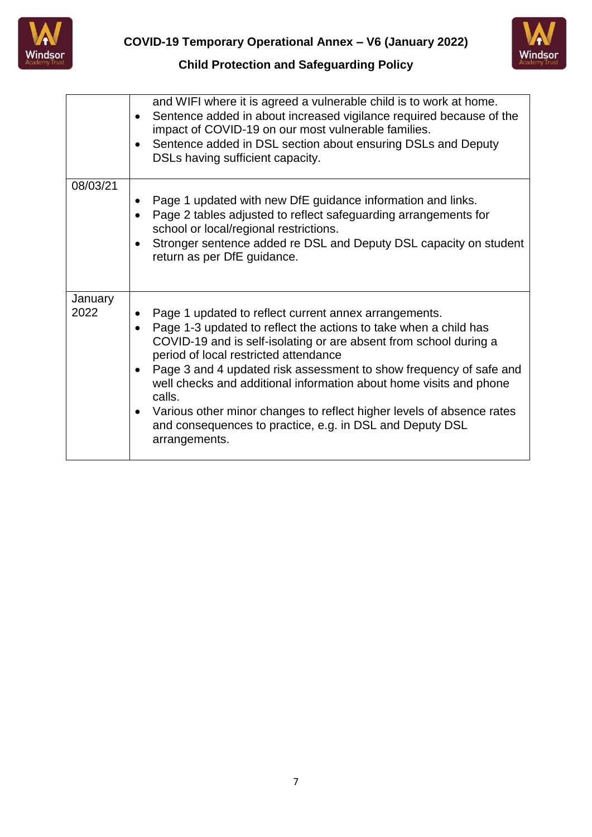



|                 | and WIFI where it is agreed a vulnerable child is to work at home.<br>Sentence added in about increased vigilance required because of the<br>$\bullet$<br>impact of COVID-19 on our most vulnerable families.<br>Sentence added in DSL section about ensuring DSLs and Deputy<br>$\bullet$<br>DSLs having sufficient capacity.                                                                                                                                                                                                                                                               |
|-----------------|----------------------------------------------------------------------------------------------------------------------------------------------------------------------------------------------------------------------------------------------------------------------------------------------------------------------------------------------------------------------------------------------------------------------------------------------------------------------------------------------------------------------------------------------------------------------------------------------|
| 08/03/21        | Page 1 updated with new DfE guidance information and links.<br>Page 2 tables adjusted to reflect safeguarding arrangements for<br>$\bullet$<br>school or local/regional restrictions.<br>Stronger sentence added re DSL and Deputy DSL capacity on student<br>$\bullet$<br>return as per DfE guidance.                                                                                                                                                                                                                                                                                       |
| January<br>2022 | Page 1 updated to reflect current annex arrangements.<br>$\bullet$<br>Page 1-3 updated to reflect the actions to take when a child has<br>$\bullet$<br>COVID-19 and is self-isolating or are absent from school during a<br>period of local restricted attendance<br>Page 3 and 4 updated risk assessment to show frequency of safe and<br>$\bullet$<br>well checks and additional information about home visits and phone<br>calls.<br>• Various other minor changes to reflect higher levels of absence rates<br>and consequences to practice, e.g. in DSL and Deputy DSL<br>arrangements. |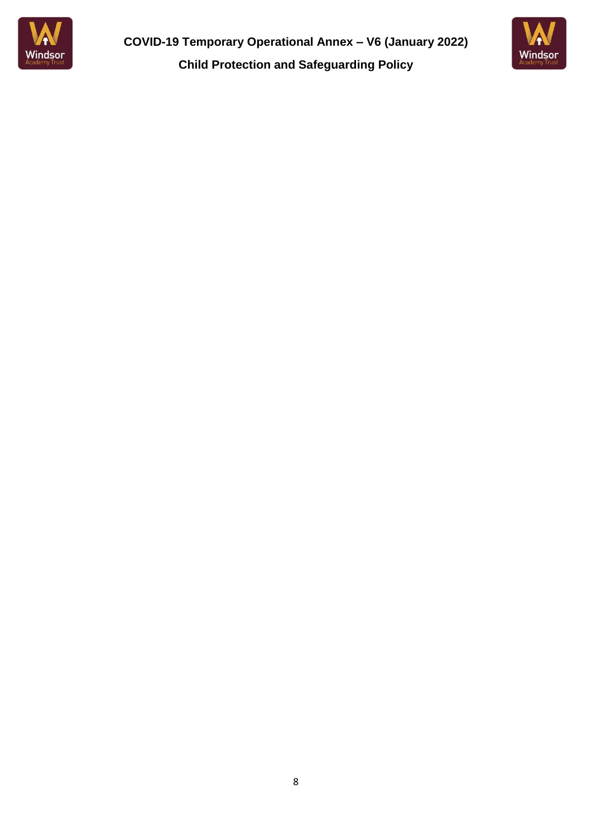